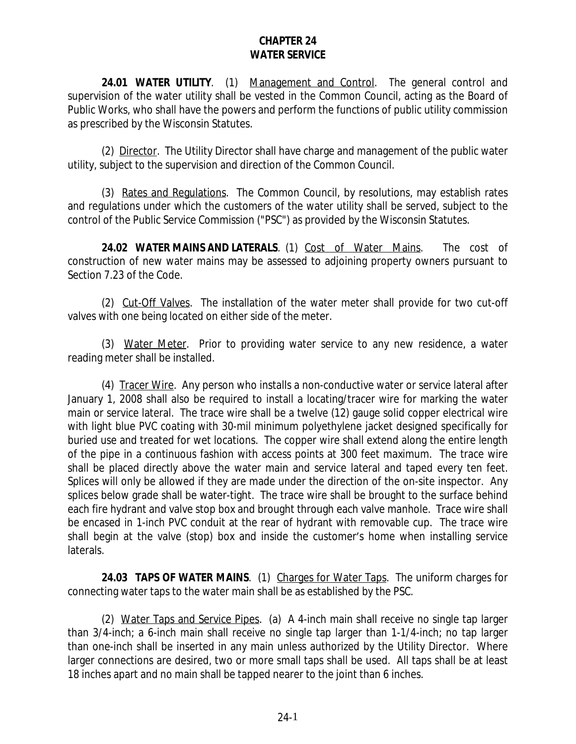## **CHAPTER 24 WATER SERVICE**

**24.01 WATER UTILITY**. (1) Management and Control. The general control and supervision of the water utility shall be vested in the Common Council, acting as the Board of Public Works, who shall have the powers and perform the functions of public utility commission as prescribed by the Wisconsin Statutes.

(2) Director. The Utility Director shall have charge and management of the public water utility, subject to the supervision and direction of the Common Council.

(3) Rates and Regulations. The Common Council, by resolutions, may establish rates and regulations under which the customers of the water utility shall be served, subject to the control of the Public Service Commission ("PSC") as provided by the Wisconsin Statutes.

**24.02 WATER MAINS AND LATERALS**. (1) Cost of Water Mains. The cost of construction of new water mains may be assessed to adjoining property owners pursuant to Section 7.23 of the Code.

(2) Cut-Off Valves. The installation of the water meter shall provide for two cut-off valves with one being located on either side of the meter.

(3) Water Meter. Prior to providing water service to any new residence, a water reading meter shall be installed.

(4) Tracer Wire. Any person who installs a non-conductive water or service lateral after January 1, 2008 shall also be required to install a locating/tracer wire for marking the water main or service lateral. The trace wire shall be a twelve (12) gauge solid copper electrical wire with light blue PVC coating with 30-mil minimum polyethylene jacket designed specifically for buried use and treated for wet locations. The copper wire shall extend along the entire length of the pipe in a continuous fashion with access points at 300 feet maximum. The trace wire shall be placed directly above the water main and service lateral and taped every ten feet. Splices will only be allowed if they are made under the direction of the on-site inspector. Any splices below grade shall be water-tight. The trace wire shall be brought to the surface behind each fire hydrant and valve stop box and brought through each valve manhole. Trace wire shall be encased in 1-inch PVC conduit at the rear of hydrant with removable cup. The trace wire shall begin at the valve (stop) box and inside the customer's home when installing service laterals.

**24.03 TAPS OF WATER MAINS**. (1) Charges for Water Taps. The uniform charges for connecting water taps to the water main shall be as established by the PSC.

(2) Water Taps and Service Pipes. (a) A 4-inch main shall receive no single tap larger than 3/4-inch; a 6-inch main shall receive no single tap larger than 1-1/4-inch; no tap larger than one-inch shall be inserted in any main unless authorized by the Utility Director. Where larger connections are desired, two or more small taps shall be used. All taps shall be at least 18 inches apart and no main shall be tapped nearer to the joint than 6 inches.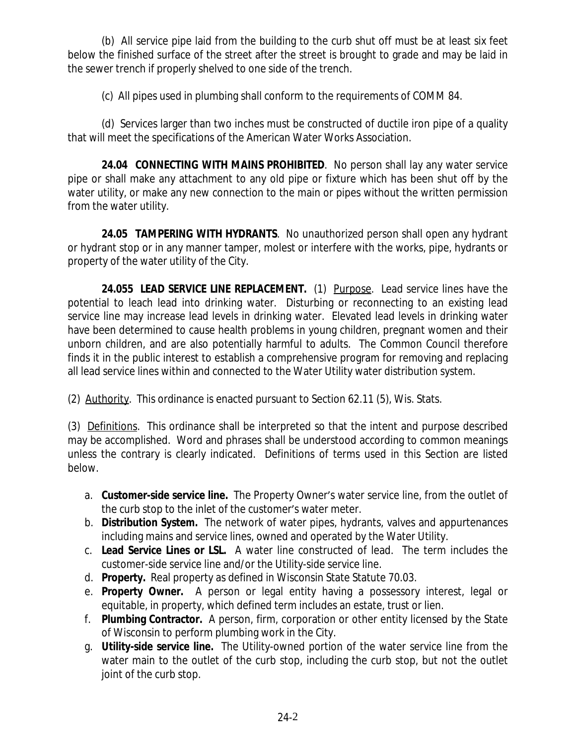(b) All service pipe laid from the building to the curb shut off must be at least six feet below the finished surface of the street after the street is brought to grade and may be laid in the sewer trench if properly shelved to one side of the trench.

(c) All pipes used in plumbing shall conform to the requirements of COMM 84.

(d) Services larger than two inches must be constructed of ductile iron pipe of a quality that will meet the specifications of the American Water Works Association.

**24.04 CONNECTING WITH MAINS PROHIBITED**. No person shall lay any water service pipe or shall make any attachment to any old pipe or fixture which has been shut off by the water utility, or make any new connection to the main or pipes without the written permission from the water utility.

**24.05 TAMPERING WITH HYDRANTS**. No unauthorized person shall open any hydrant or hydrant stop or in any manner tamper, molest or interfere with the works, pipe, hydrants or property of the water utility of the City.

**24.055 LEAD SERVICE LINE REPLACEMENT.** (1) Purpose. Lead service lines have the potential to leach lead into drinking water. Disturbing or reconnecting to an existing lead service line may increase lead levels in drinking water. Elevated lead levels in drinking water have been determined to cause health problems in young children, pregnant women and their unborn children, and are also potentially harmful to adults. The Common Council therefore finds it in the public interest to establish a comprehensive program for removing and replacing all lead service lines within and connected to the Water Utility water distribution system.

(2) Authority. This ordinance is enacted pursuant to Section 62.11 (5), Wis. Stats.

(3) Definitions. This ordinance shall be interpreted so that the intent and purpose described may be accomplished. Word and phrases shall be understood according to common meanings unless the contrary is clearly indicated. Definitions of terms used in this Section are listed below.

- a. **Customer-side service line.** The Property Owner's water service line, from the outlet of the curb stop to the inlet of the customer's water meter.
- b. **Distribution System.** The network of water pipes, hydrants, valves and appurtenances including mains and service lines, owned and operated by the Water Utility.
- c. **Lead Service Lines or LSL.** A water line constructed of lead. The term includes the customer-side service line and/or the Utility-side service line.
- d. **Property.** Real property as defined in Wisconsin State Statute 70.03.
- e. **Property Owner.** A person or legal entity having a possessory interest, legal or equitable, in property, which defined term includes an estate, trust or lien.
- f. **Plumbing Contractor.** A person, firm, corporation or other entity licensed by the State of Wisconsin to perform plumbing work in the City.
- g. **Utility-side service line.** The Utility-owned portion of the water service line from the water main to the outlet of the curb stop, including the curb stop, but not the outlet joint of the curb stop.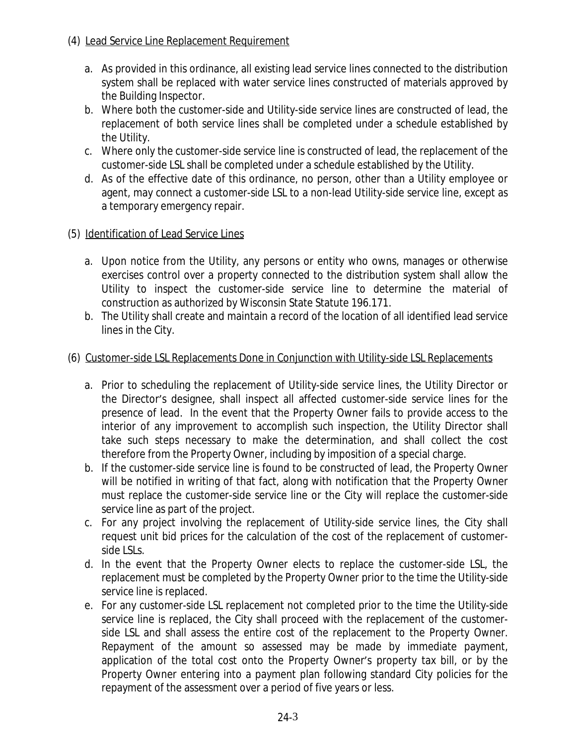- (4) Lead Service Line Replacement Requirement
	- a. As provided in this ordinance, all existing lead service lines connected to the distribution system shall be replaced with water service lines constructed of materials approved by the Building Inspector.
	- b. Where both the customer-side and Utility-side service lines are constructed of lead, the replacement of both service lines shall be completed under a schedule established by the Utility.
	- c. Where only the customer-side service line is constructed of lead, the replacement of the customer-side LSL shall be completed under a schedule established by the Utility.
	- d. As of the effective date of this ordinance, no person, other than a Utility employee or agent, may connect a customer-side LSL to a non-lead Utility-side service line, except as a temporary emergency repair.

## (5) Identification of Lead Service Lines

- a. Upon notice from the Utility, any persons or entity who owns, manages or otherwise exercises control over a property connected to the distribution system shall allow the Utility to inspect the customer-side service line to determine the material of construction as authorized by Wisconsin State Statute 196.171.
- b. The Utility shall create and maintain a record of the location of all identified lead service lines in the City.

## (6) Customer-side LSL Replacements Done in Conjunction with Utility-side LSL Replacements

- a. Prior to scheduling the replacement of Utility-side service lines, the Utility Director or the Director's designee, shall inspect all affected customer-side service lines for the presence of lead. In the event that the Property Owner fails to provide access to the interior of any improvement to accomplish such inspection, the Utility Director shall take such steps necessary to make the determination, and shall collect the cost therefore from the Property Owner, including by imposition of a special charge.
- b. If the customer-side service line is found to be constructed of lead, the Property Owner will be notified in writing of that fact, along with notification that the Property Owner must replace the customer-side service line or the City will replace the customer-side service line as part of the project.
- c. For any project involving the replacement of Utility-side service lines, the City shall request unit bid prices for the calculation of the cost of the replacement of customerside LSLs.
- d. In the event that the Property Owner elects to replace the customer-side LSL, the replacement must be completed by the Property Owner prior to the time the Utility-side service line is replaced.
- e. For any customer-side LSL replacement not completed prior to the time the Utility-side service line is replaced, the City shall proceed with the replacement of the customerside LSL and shall assess the entire cost of the replacement to the Property Owner. Repayment of the amount so assessed may be made by immediate payment, application of the total cost onto the Property Owner's property tax bill, or by the Property Owner entering into a payment plan following standard City policies for the repayment of the assessment over a period of five years or less.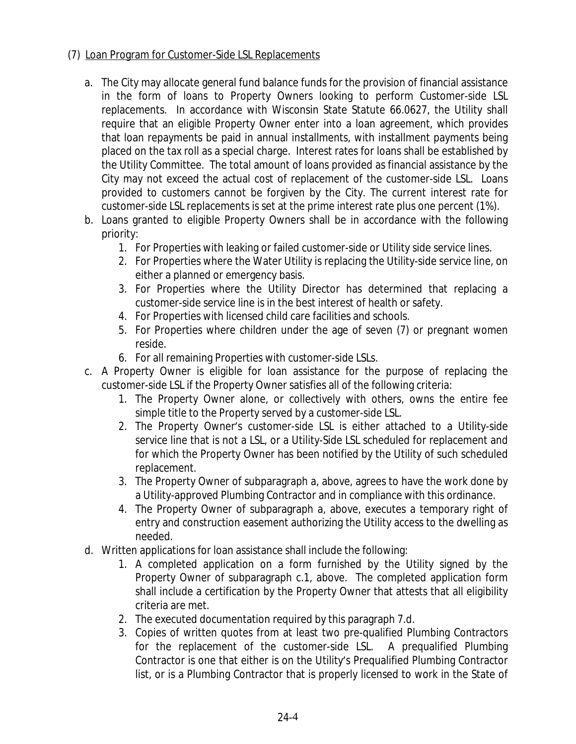## (7) Loan Program for Customer-Side LSL Replacements

- a. The City may allocate general fund balance funds for the provision of financial assistance in the form of loans to Property Owners looking to perform Customer-side LSL replacements. In accordance with Wisconsin State Statute 66.0627, the Utility shall require that an eligible Property Owner enter into a loan agreement, which provides that loan repayments be paid in annual installments, with installment payments being placed on the tax roll as a special charge. Interest rates for loans shall be established by the Utility Committee. The total amount of loans provided as financial assistance by the City may not exceed the actual cost of replacement of the customer-side LSL. Loans provided to customers cannot be forgiven by the City. The current interest rate for customer-side LSL replacements is set at the prime interest rate plus one percent (1%).
- b. Loans granted to eligible Property Owners shall be in accordance with the following priority:
	- 1. For Properties with leaking or failed customer-side or Utility side service lines.
	- 2. For Properties where the Water Utility is replacing the Utility-side service line, on either a planned or emergency basis.
	- 3. For Properties where the Utility Director has determined that replacing a customer-side service line is in the best interest of health or safety.
	- 4. For Properties with licensed child care facilities and schools.
	- 5. For Properties where children under the age of seven (7) or pregnant women reside.
	- 6. For all remaining Properties with customer-side LSLs.
- c. A Property Owner is eligible for loan assistance for the purpose of replacing the customer-side LSL if the Property Owner satisfies all of the following criteria:
	- 1. The Property Owner alone, or collectively with others, owns the entire fee simple title to the Property served by a customer-side LSL.
	- 2. The Property Owner's customer-side LSL is either attached to a Utility-side service line that is not a LSL, or a Utility-Side LSL scheduled for replacement and for which the Property Owner has been notified by the Utility of such scheduled replacement.
	- 3. The Property Owner of subparagraph a, above, agrees to have the work done by a Utility-approved Plumbing Contractor and in compliance with this ordinance.
	- 4. The Property Owner of subparagraph a, above, executes a temporary right of entry and construction easement authorizing the Utility access to the dwelling as needed.
- d. Written applications for loan assistance shall include the following:
	- 1. A completed application on a form furnished by the Utility signed by the Property Owner of subparagraph c.1, above. The completed application form shall include a certification by the Property Owner that attests that all eligibility criteria are met.
	- 2. The executed documentation required by this paragraph 7.d.
	- 3. Copies of written quotes from at least two pre-qualified Plumbing Contractors for the replacement of the customer-side LSL. A prequalified Plumbing Contractor is one that either is on the Utility's Prequalified Plumbing Contractor list, or is a Plumbing Contractor that is properly licensed to work in the State of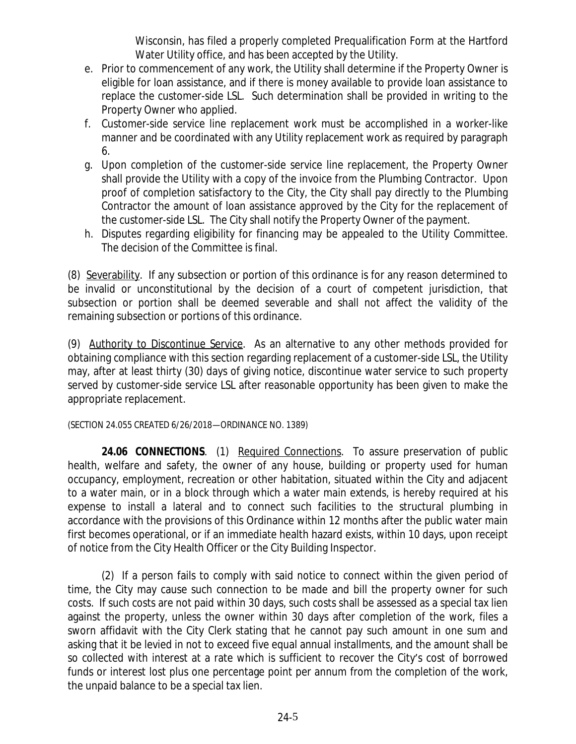Wisconsin, has filed a properly completed Prequalification Form at the Hartford Water Utility office, and has been accepted by the Utility.

- e. Prior to commencement of any work, the Utility shall determine if the Property Owner is eligible for loan assistance, and if there is money available to provide loan assistance to replace the customer-side LSL. Such determination shall be provided in writing to the Property Owner who applied.
- f. Customer-side service line replacement work must be accomplished in a worker-like manner and be coordinated with any Utility replacement work as required by paragraph 6.
- g. Upon completion of the customer-side service line replacement, the Property Owner shall provide the Utility with a copy of the invoice from the Plumbing Contractor. Upon proof of completion satisfactory to the City, the City shall pay directly to the Plumbing Contractor the amount of loan assistance approved by the City for the replacement of the customer-side LSL. The City shall notify the Property Owner of the payment.
- h. Disputes regarding eligibility for financing may be appealed to the Utility Committee. The decision of the Committee is final.

(8) Severability. If any subsection or portion of this ordinance is for any reason determined to be invalid or unconstitutional by the decision of a court of competent jurisdiction, that subsection or portion shall be deemed severable and shall not affect the validity of the remaining subsection or portions of this ordinance.

(9) Authority to Discontinue Service. As an alternative to any other methods provided for obtaining compliance with this section regarding replacement of a customer-side LSL, the Utility may, after at least thirty (30) days of giving notice, discontinue water service to such property served by customer-side service LSL after reasonable opportunity has been given to make the appropriate replacement.

(SECTION 24.055 CREATED 6/26/2018—ORDINANCE NO. 1389)

**24.06 CONNECTIONS**. (1) Required Connections. To assure preservation of public health, welfare and safety, the owner of any house, building or property used for human occupancy, employment, recreation or other habitation, situated within the City and adjacent to a water main, or in a block through which a water main extends, is hereby required at his expense to install a lateral and to connect such facilities to the structural plumbing in accordance with the provisions of this Ordinance within 12 months after the public water main first becomes operational, or if an immediate health hazard exists, within 10 days, upon receipt of notice from the City Health Officer or the City Building Inspector.

(2) If a person fails to comply with said notice to connect within the given period of time, the City may cause such connection to be made and bill the property owner for such costs. If such costs are not paid within 30 days, such costs shall be assessed as a special tax lien against the property, unless the owner within 30 days after completion of the work, files a sworn affidavit with the City Clerk stating that he cannot pay such amount in one sum and asking that it be levied in not to exceed five equal annual installments, and the amount shall be so collected with interest at a rate which is sufficient to recover the City's cost of borrowed funds or interest lost plus one percentage point per annum from the completion of the work, the unpaid balance to be a special tax lien.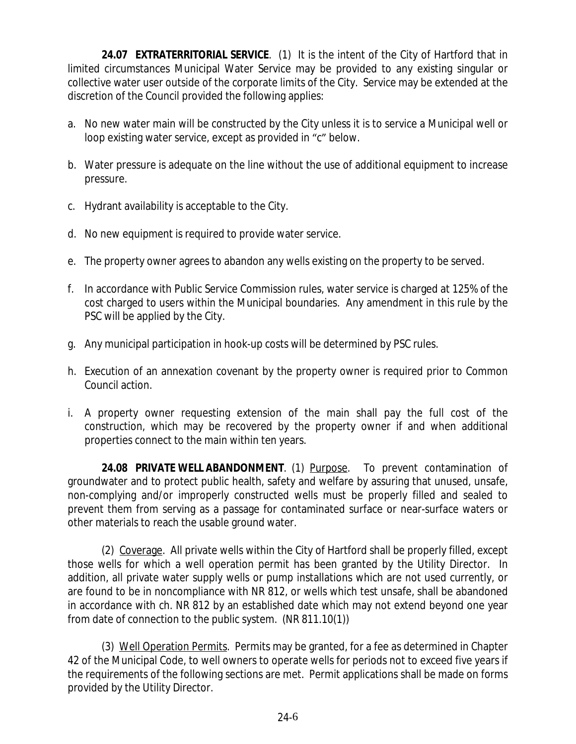**24.07 EXTRATERRITORIAL SERVICE**. (1) It is the intent of the City of Hartford that in limited circumstances Municipal Water Service may be provided to any existing singular or collective water user outside of the corporate limits of the City. Service may be extended at the discretion of the Council provided the following applies:

- a. No new water main will be constructed by the City unless it is to service a Municipal well or loop existing water service, except as provided in "c" below.
- b. Water pressure is adequate on the line without the use of additional equipment to increase pressure.
- c. Hydrant availability is acceptable to the City.
- d. No new equipment is required to provide water service.
- e. The property owner agrees to abandon any wells existing on the property to be served.
- f. In accordance with Public Service Commission rules, water service is charged at 125% of the cost charged to users within the Municipal boundaries. Any amendment in this rule by the PSC will be applied by the City.
- g. Any municipal participation in hook-up costs will be determined by PSC rules.
- h. Execution of an annexation covenant by the property owner is required prior to Common Council action.
- i. A property owner requesting extension of the main shall pay the full cost of the construction, which may be recovered by the property owner if and when additional properties connect to the main within ten years.

**24.08 PRIVATE WELL ABANDONMENT**. (1) Purpose. To prevent contamination of groundwater and to protect public health, safety and welfare by assuring that unused, unsafe, non-complying and/or improperly constructed wells must be properly filled and sealed to prevent them from serving as a passage for contaminated surface or near-surface waters or other materials to reach the usable ground water.

(2) Coverage. All private wells within the City of Hartford shall be properly filled, except those wells for which a well operation permit has been granted by the Utility Director. In addition, all private water supply wells or pump installations which are not used currently, or are found to be in noncompliance with NR 812, or wells which test unsafe, shall be abandoned in accordance with ch. NR 812 by an established date which may not extend beyond one year from date of connection to the public system. (NR 811.10(1))

(3) Well Operation Permits. Permits may be granted, for a fee as determined in Chapter 42 of the Municipal Code, to well owners to operate wells for periods not to exceed five years if the requirements of the following sections are met. Permit applications shall be made on forms provided by the Utility Director.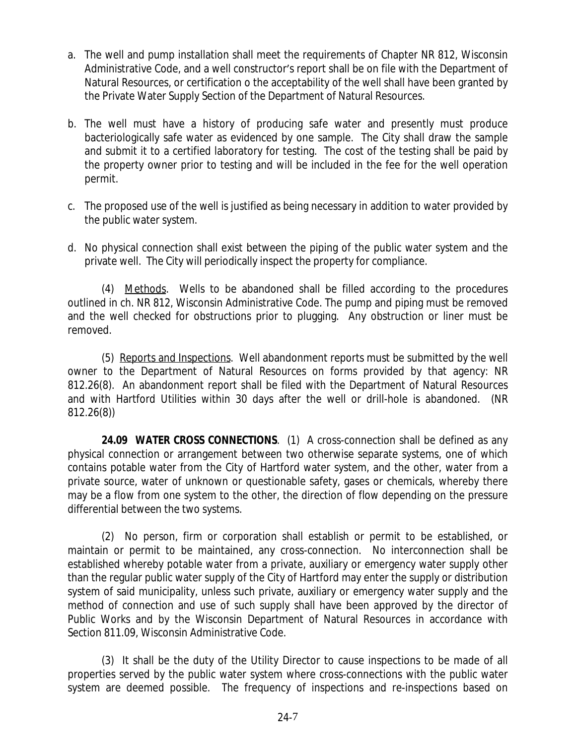- a. The well and pump installation shall meet the requirements of Chapter NR 812, Wisconsin Administrative Code, and a well constructor's report shall be on file with the Department of Natural Resources, or certification o the acceptability of the well shall have been granted by the Private Water Supply Section of the Department of Natural Resources.
- b. The well must have a history of producing safe water and presently must produce bacteriologically safe water as evidenced by one sample. The City shall draw the sample and submit it to a certified laboratory for testing. The cost of the testing shall be paid by the property owner prior to testing and will be included in the fee for the well operation permit.
- c. The proposed use of the well is justified as being necessary in addition to water provided by the public water system.
- d. No physical connection shall exist between the piping of the public water system and the private well. The City will periodically inspect the property for compliance.

(4) Methods. Wells to be abandoned shall be filled according to the procedures outlined in ch. NR 812, Wisconsin Administrative Code. The pump and piping must be removed and the well checked for obstructions prior to plugging. Any obstruction or liner must be removed.

(5) Reports and Inspections. Well abandonment reports must be submitted by the well owner to the Department of Natural Resources on forms provided by that agency: NR 812.26(8). An abandonment report shall be filed with the Department of Natural Resources and with Hartford Utilities within 30 days after the well or drill-hole is abandoned. (NR 812.26(8))

**24.09 WATER CROSS CONNECTIONS**. (1) A cross-connection shall be defined as any physical connection or arrangement between two otherwise separate systems, one of which contains potable water from the City of Hartford water system, and the other, water from a private source, water of unknown or questionable safety, gases or chemicals, whereby there may be a flow from one system to the other, the direction of flow depending on the pressure differential between the two systems.

(2) No person, firm or corporation shall establish or permit to be established, or maintain or permit to be maintained, any cross-connection. No interconnection shall be established whereby potable water from a private, auxiliary or emergency water supply other than the regular public water supply of the City of Hartford may enter the supply or distribution system of said municipality, unless such private, auxiliary or emergency water supply and the method of connection and use of such supply shall have been approved by the director of Public Works and by the Wisconsin Department of Natural Resources in accordance with Section 811.09, Wisconsin Administrative Code.

(3) It shall be the duty of the Utility Director to cause inspections to be made of all properties served by the public water system where cross-connections with the public water system are deemed possible. The frequency of inspections and re-inspections based on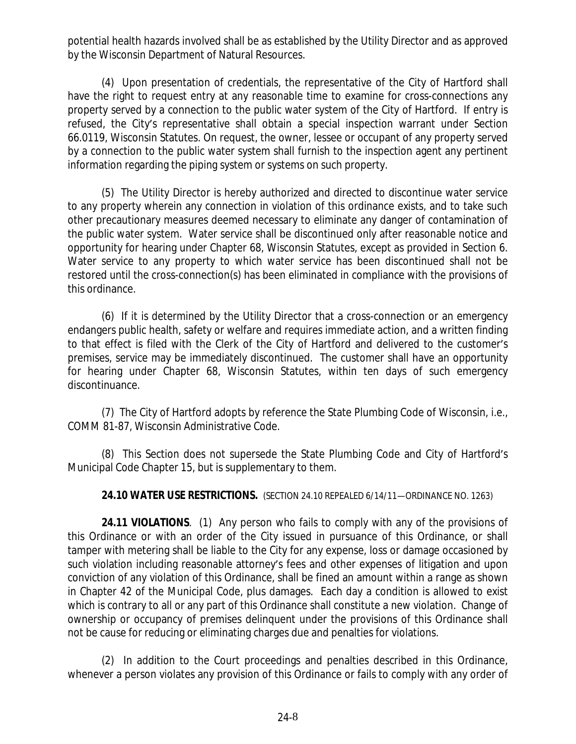potential health hazards involved shall be as established by the Utility Director and as approved by the Wisconsin Department of Natural Resources.

(4) Upon presentation of credentials, the representative of the City of Hartford shall have the right to request entry at any reasonable time to examine for cross-connections any property served by a connection to the public water system of the City of Hartford. If entry is refused, the City's representative shall obtain a special inspection warrant under Section 66.0119, Wisconsin Statutes. On request, the owner, lessee or occupant of any property served by a connection to the public water system shall furnish to the inspection agent any pertinent information regarding the piping system or systems on such property.

(5) The Utility Director is hereby authorized and directed to discontinue water service to any property wherein any connection in violation of this ordinance exists, and to take such other precautionary measures deemed necessary to eliminate any danger of contamination of the public water system. Water service shall be discontinued only after reasonable notice and opportunity for hearing under Chapter 68, Wisconsin Statutes, except as provided in Section 6. Water service to any property to which water service has been discontinued shall not be restored until the cross-connection(s) has been eliminated in compliance with the provisions of this ordinance.

(6) If it is determined by the Utility Director that a cross-connection or an emergency endangers public health, safety or welfare and requires immediate action, and a written finding to that effect is filed with the Clerk of the City of Hartford and delivered to the customer's premises, service may be immediately discontinued. The customer shall have an opportunity for hearing under Chapter 68, Wisconsin Statutes, within ten days of such emergency discontinuance.

(7) The City of Hartford adopts by reference the State Plumbing Code of Wisconsin, i.e., COMM 81-87, Wisconsin Administrative Code.

(8) This Section does not supersede the State Plumbing Code and City of Hartford's Municipal Code Chapter 15, but is supplementary to them.

**24.10 WATER USE RESTRICTIONS.** (SECTION 24.10 REPEALED 6/14/11—ORDINANCE NO. 1263)

**24.11 VIOLATIONS**. (1) Any person who fails to comply with any of the provisions of this Ordinance or with an order of the City issued in pursuance of this Ordinance, or shall tamper with metering shall be liable to the City for any expense, loss or damage occasioned by such violation including reasonable attorney's fees and other expenses of litigation and upon conviction of any violation of this Ordinance, shall be fined an amount within a range as shown in Chapter 42 of the Municipal Code, plus damages. Each day a condition is allowed to exist which is contrary to all or any part of this Ordinance shall constitute a new violation. Change of ownership or occupancy of premises delinquent under the provisions of this Ordinance shall not be cause for reducing or eliminating charges due and penalties for violations.

(2) In addition to the Court proceedings and penalties described in this Ordinance, whenever a person violates any provision of this Ordinance or fails to comply with any order of